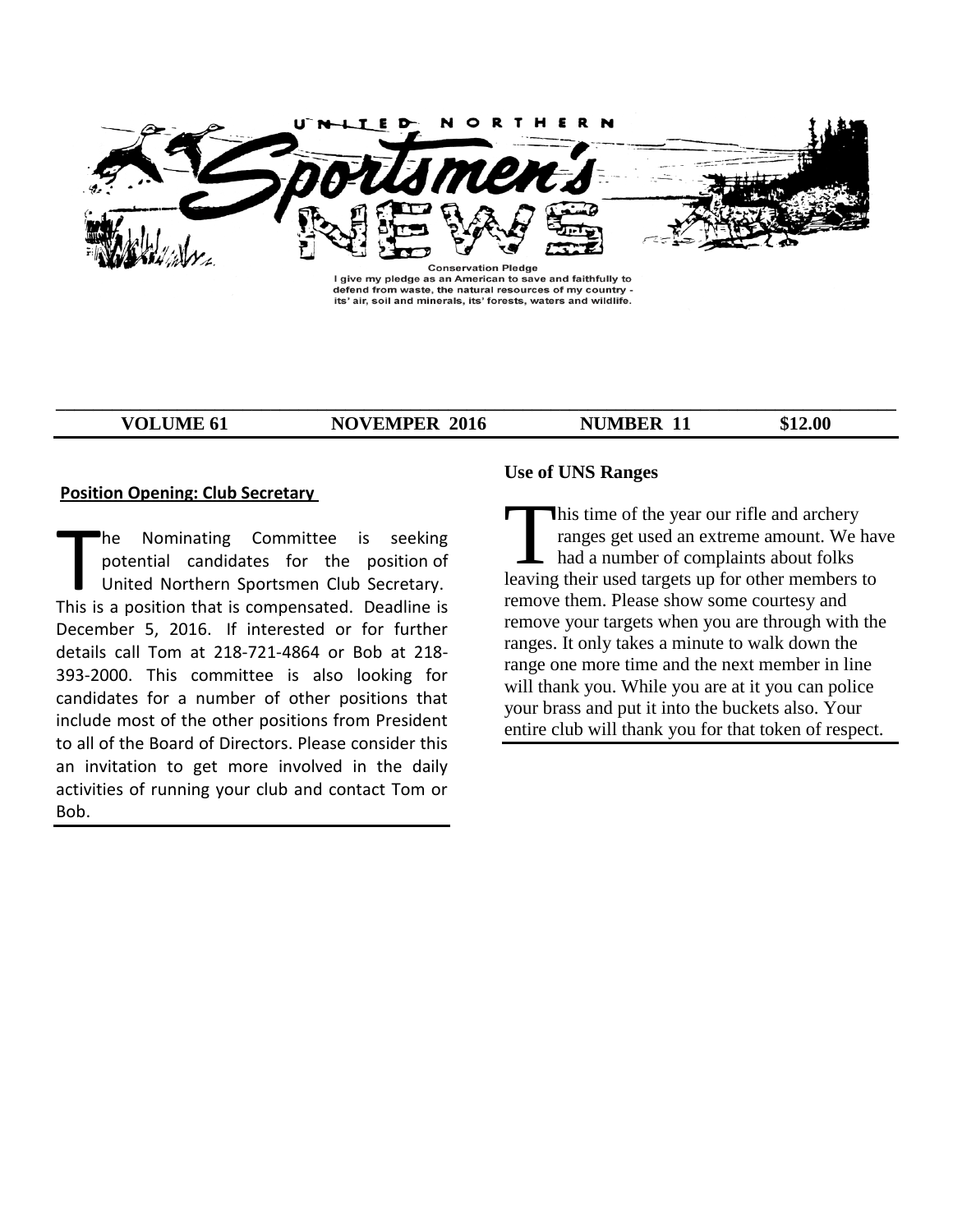

I give my pledge as an American to save and faithfully to defend from waste, the natural resources of my country -<br>its' air, soil and minerals, its' forests, waters and wildlife.

**\_\_\_\_\_\_\_\_\_\_\_\_\_\_\_\_\_\_\_\_\_\_\_\_\_\_\_\_\_\_\_\_\_\_\_\_\_\_\_\_\_\_\_\_\_\_\_\_\_\_\_\_\_\_\_\_\_\_\_\_\_\_\_\_\_\_\_\_\_\_\_\_\_\_\_\_\_\_\_\_\_\_\_\_\_\_\_\_\_\_**

**VOLUME 61 NOVEMPER 2016 NUMBER 11** \$12.00

## **Position Opening: Club Secretary**

he Nominating Committee is seeking potential candidates for the position of United Northern Sportsmen Club Secretary. This is a position that is compensated. Deadline is December 5, 2016. If interested or for further details call Tom at 218-721-4864 or Bob at 218- 393-2000. This committee is also looking for candidates for a number of other positions that include most of the other positions from President to all of the Board of Directors. Please consider this an invitation to get more involved in the daily activities of running your club and contact Tom or Bob. The Nominating Committee is seeking<br>
potential candidates for the position of<br>
United Northern Sportsmen Club Secretary. leaving<br>
This is a position that is compensated. Deadline is

# **Use of UNS Ranges**

This time of the year our rifle and archery ranges get used an extreme amount. We have had a number of complaints about folks leaving their used targets up for other members to remove them. Please show some courtesy and remove your targets when you are through with the ranges. It only takes a minute to walk down the range one more time and the next member in line will thank you. While you are at it you can police your brass and put it into the buckets also. Your entire club will thank you for that token of respect.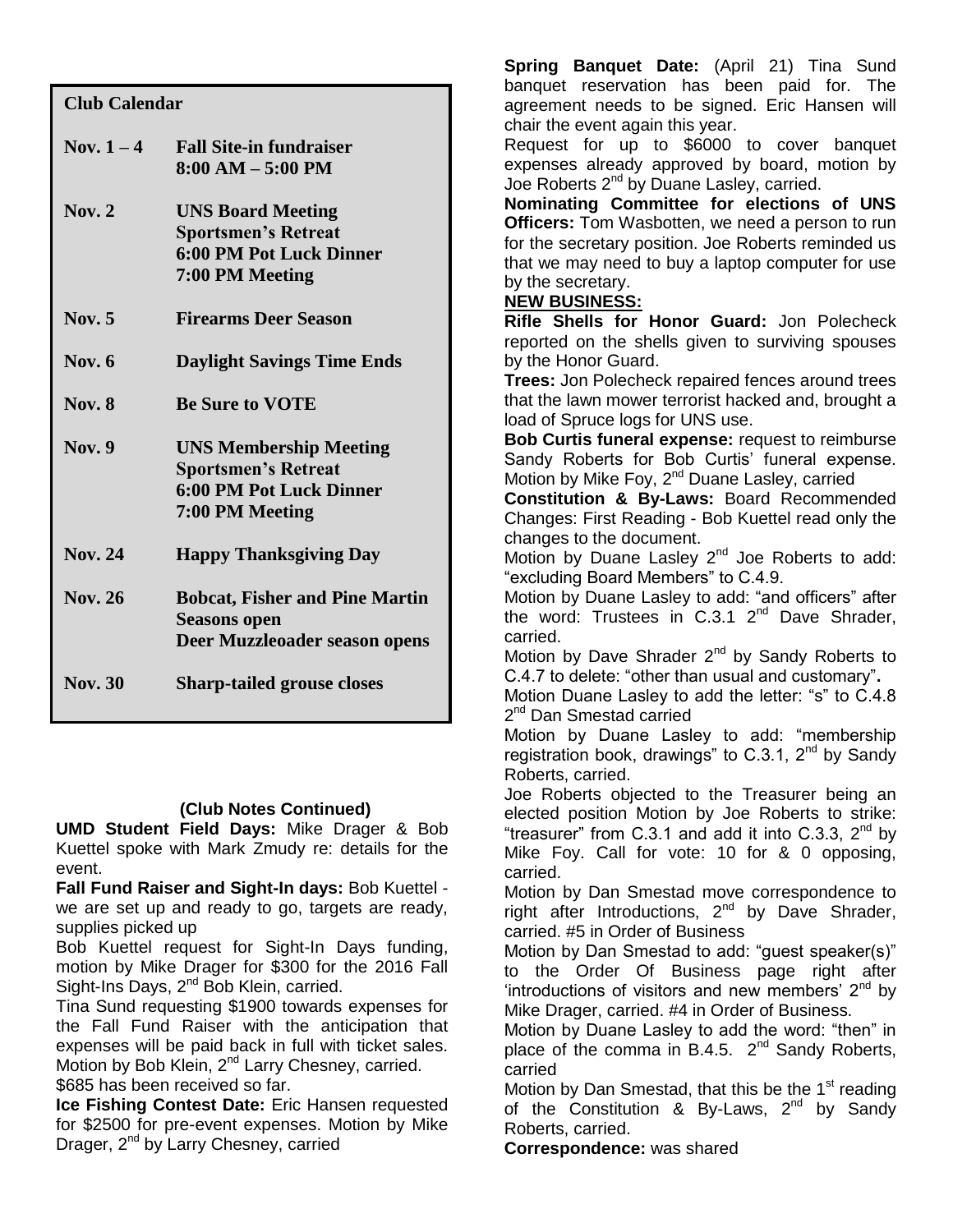# **Club Calendar**

| Nov. $1-4$     | <b>Fall Site-in fundraiser</b><br>$8:00 AM - 5:00 PM$                                                            |
|----------------|------------------------------------------------------------------------------------------------------------------|
| Nov. $2$       | <b>UNS Board Meeting</b><br><b>Sportsmen's Retreat</b><br><b>6:00 PM Pot Luck Dinner</b><br>7:00 PM Meeting      |
| <b>Nov.</b> 5  | <b>Firearms Deer Season</b>                                                                                      |
| Nov. $6$       | <b>Daylight Savings Time Ends</b>                                                                                |
| <b>Nov. 8</b>  | <b>Be Sure to VOTE</b>                                                                                           |
| <b>Nov.</b> 9  | <b>UNS Membership Meeting</b><br><b>Sportsmen's Retreat</b><br><b>6:00 PM Pot Luck Dinner</b><br>7:00 PM Meeting |
| <b>Nov. 24</b> | <b>Happy Thanksgiving Day</b>                                                                                    |
| <b>Nov. 26</b> | <b>Bobcat, Fisher and Pine Martin</b><br><b>Seasons open</b><br>Deer Muzzleoader season opens                    |
| <b>Nov.</b> 30 | <b>Sharp-tailed grouse closes</b>                                                                                |

# **(Club Notes Continued)**

**UMD Student Field Days:** Mike Drager & Bob Kuettel spoke with Mark Zmudy re: details for the event.

**Fall Fund Raiser and Sight-In days:** Bob Kuettel we are set up and ready to go, targets are ready, supplies picked up

Bob Kuettel request for Sight-In Days funding, motion by Mike Drager for \$300 for the 2016 Fall Sight-Ins Days, 2<sup>nd</sup> Bob Klein, carried.

Tina Sund requesting \$1900 towards expenses for the Fall Fund Raiser with the anticipation that expenses will be paid back in full with ticket sales. Motion by Bob Klein, 2<sup>nd</sup> Larry Chesney, carried. \$685 has been received so far.

**Ice Fishing Contest Date:** Eric Hansen requested for \$2500 for pre-event expenses. Motion by Mike Drager, 2<sup>nd</sup> by Larry Chesney, carried

**Spring Banquet Date:** (April 21) Tina Sund banquet reservation has been paid for. The agreement needs to be signed. Eric Hansen will chair the event again this year.

Request for up to \$6000 to cover banquet expenses already approved by board, motion by Joe Roberts 2<sup>nd</sup> by Duane Lasley, carried.

**Nominating Committee for elections of UNS Officers:** Tom Wasbotten, we need a person to run for the secretary position. Joe Roberts reminded us that we may need to buy a laptop computer for use by the secretary.

# **NEW BUSINESS:**

**Rifle Shells for Honor Guard:** Jon Polecheck reported on the shells given to surviving spouses by the Honor Guard.

**Trees:** Jon Polecheck repaired fences around trees that the lawn mower terrorist hacked and, brought a load of Spruce logs for UNS use.

**Bob Curtis funeral expense:** request to reimburse Sandy Roberts for Bob Curtis' funeral expense. Motion by Mike Foy, 2<sup>nd</sup> Duane Lasley, carried

**Constitution & By-Laws:** Board Recommended Changes: First Reading - Bob Kuettel read only the changes to the document.

Motion by Duane Lasley 2<sup>nd</sup> Joe Roberts to add: "excluding Board Members" to C.4.9.

Motion by Duane Lasley to add: "and officers" after the word: Trustees in  $C.3.1$   $2^{nd}$  Dave Shrader, carried.

Motion by Dave Shrader 2<sup>nd</sup> by Sandy Roberts to C.4.7 to delete: "other than usual and customary"**.**

Motion Duane Lasley to add the letter: "s" to C.4.8 2<sup>nd</sup> Dan Smestad carried

Motion by Duane Lasley to add: "membership registration book, drawings" to C.3.1,  $2^{nd}$  by Sandy Roberts, carried.

Joe Roberts objected to the Treasurer being an elected position Motion by Joe Roberts to strike: "treasurer" from C.3.1 and add it into C.3.3,  $2<sup>nd</sup>$  by Mike Foy. Call for vote: 10 for & 0 opposing, carried.

Motion by Dan Smestad move correspondence to right after Introductions,  $2^{nd}$  by Dave Shrader, carried. #5 in Order of Business

Motion by Dan Smestad to add: "guest speaker(s)" to the Order Of Business page right after 'introductions of visitors and new members'  $2^{nd}$  by Mike Drager, carried. #4 in Order of Business.

Motion by Duane Lasley to add the word: "then" in place of the comma in B.4.5.  $2^{nd}$  Sandy Roberts, carried

Motion by Dan Smestad, that this be the  $1<sup>st</sup>$  reading of the Constitution & By-Laws,  $2^{nd}$  by Sandy Roberts, carried.

**Correspondence:** was shared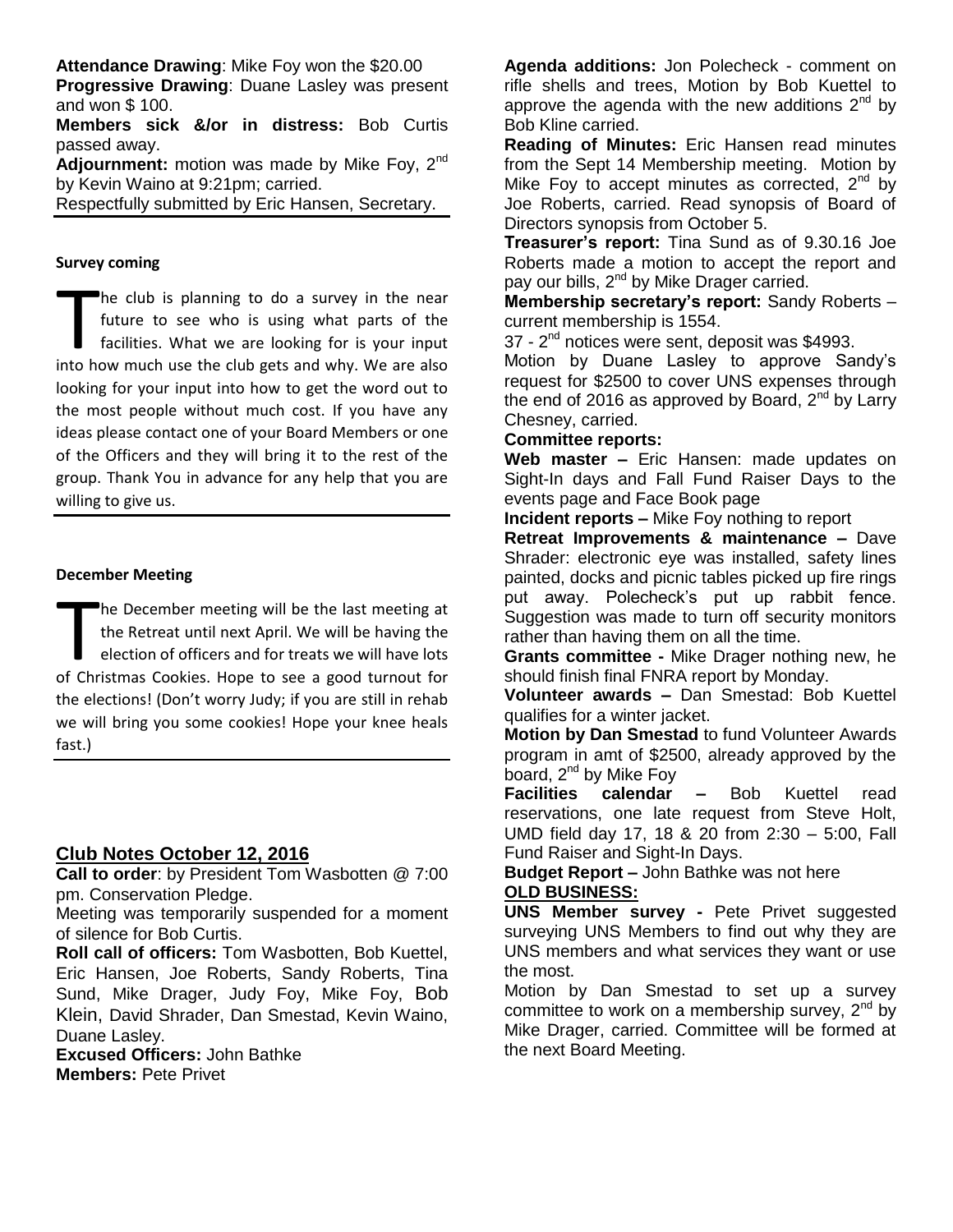**Attendance Drawing**: Mike Foy won the \$20.00 **Progressive Drawing**: Duane Lasley was present

and won \$ 100.

**Members sick &/or in distress:** Bob Curtis passed away.

Adjournment: motion was made by Mike Fov. 2<sup>nd</sup> by Kevin Waino at 9:21pm; carried.

Respectfully submitted by Eric Hansen, Secretary.

#### **Survey coming**

he club is planning to do a survey in the near future to see who is using what parts of the facilities. What we are looking for is your input The club is planning to do a survey in the near<br>future to see who is using what parts of the<br>facilities. What we are looking for is your input<br>into how much use the club gets and why. We are also looking for your input into how to get the word out to the most people without much cost. If you have any ideas please contact one of your Board Members or one of the Officers and they will bring it to the rest of the group. Thank You in advance for any help that you are willing to give us.

#### **December Meeting**

he December meeting will be the last meeting at the Retreat until next April. We will be having the election of officers and for treats we will have lots The December meeting will be the last meeting at<br>the Retreat until next April. We will be having the<br>election of officers and for treats we will have lots<br>of Christmas Cookies. Hope to see a good turnout for the elections! (Don't worry Judy; if you are still in rehab we will bring you some cookies! Hope your knee heals fast.)

## **Club Notes October 12, 2016**

**Call to order**: by President Tom Wasbotten @ 7:00 pm. Conservation Pledge.

Meeting was temporarily suspended for a moment of silence for Bob Curtis.

**Roll call of officers:** Tom Wasbotten, Bob Kuettel, Eric Hansen, Joe Roberts, Sandy Roberts, Tina Sund, Mike Drager, Judy Foy, Mike Foy, Bob Klein, David Shrader, Dan Smestad, Kevin Waino, Duane Lasley.

**Excused Officers:** John Bathke **Members:** Pete Privet

**Agenda additions:** Jon Polecheck - comment on rifle shells and trees, Motion by Bob Kuettel to approve the agenda with the new additions  $2<sup>nd</sup>$  by Bob Kline carried.

**Reading of Minutes:** Eric Hansen read minutes from the Sept 14 Membership meeting. Motion by Mike Foy to accept minutes as corrected,  $2<sup>nd</sup>$  by Joe Roberts, carried. Read synopsis of Board of Directors synopsis from October 5.

**Treasurer's report:** Tina Sund as of 9.30.16 Joe Roberts made a motion to accept the report and pay our bills, 2<sup>nd</sup> by Mike Drager carried.

**Membership secretary's report:** Sandy Roberts – current membership is 1554.

37 - 2<sup>nd</sup> notices were sent, deposit was \$4993.

Motion by Duane Lasley to approve Sandy's request for \$2500 to cover UNS expenses through the end of 2016 as approved by Board,  $2^{nd}$  by Larry Chesney, carried.

## **Committee reports:**

**Web master –** Eric Hansen: made updates on Sight-In days and Fall Fund Raiser Days to the events page and Face Book page

**Incident reports –** Mike Foy nothing to report

**Retreat Improvements & maintenance –** Dave Shrader: electronic eye was installed, safety lines painted, docks and picnic tables picked up fire rings put away. Polecheck's put up rabbit fence. Suggestion was made to turn off security monitors rather than having them on all the time.

**Grants committee -** Mike Drager nothing new, he should finish final FNRA report by Monday.

**Volunteer awards –** Dan Smestad: Bob Kuettel qualifies for a winter jacket.

**Motion by Dan Smestad** to fund Volunteer Awards program in amt of \$2500, already approved by the board,  $2^{nd}$  by Mike Foy

**Facilities calendar –** Bob Kuettel read reservations, one late request from Steve Holt, UMD field day 17, 18 & 20 from 2:30 – 5:00, Fall Fund Raiser and Sight-In Days.

**Budget Report –** John Bathke was not here **OLD BUSINESS:**

**UNS Member survey -** Pete Privet suggested surveying UNS Members to find out why they are UNS members and what services they want or use the most.

Motion by Dan Smestad to set up a survey committee to work on a membership survey,  $2<sup>nd</sup>$  by Mike Drager, carried. Committee will be formed at the next Board Meeting.